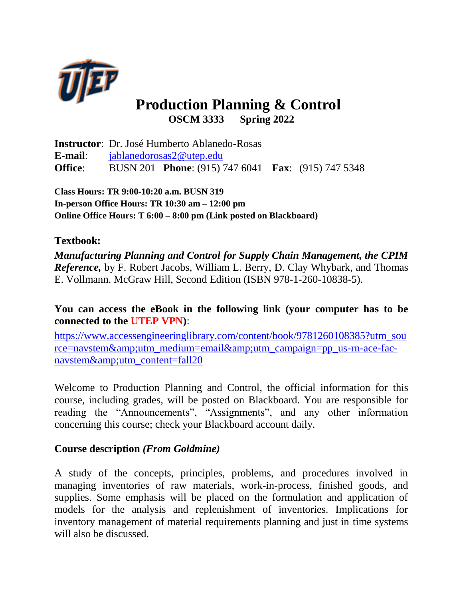

# **Production Planning & Control OSCM 3333 Spring 2022**

**Instructor**: Dr. José Humberto Ablanedo-Rosas **E-mail**: [jablanedorosas2@utep.edu](mailto:jablanedorosas2@utep.edu) **Office**: BUSN 201 **Phone**: (915) 747 6041 **Fax**: (915) 747 5348

**Class Hours: TR 9:00-10:20 a.m. BUSN 319 In-person Office Hours: TR 10:30 am – 12:00 pm Online Office Hours: T 6:00 – 8:00 pm (Link posted on Blackboard)** 

# **Textbook:**

*Manufacturing Planning and Control for Supply Chain Management, the CPIM Reference*, by F. Robert Jacobs, William L. Berry, D. Clay Whybark, and Thomas E. Vollmann. McGraw Hill, Second Edition (ISBN 978-1-260-10838-5).

**You can access the eBook in the following link (your computer has to be connected to the UTEP VPN)**:

[https://www.accessengineeringlibrary.com/content/book/9781260108385?utm\\_sou](https://www.accessengineeringlibrary.com/content/book/9781260108385?utm_source=navstem&utm_medium=email&utm_campaign=pp_us-rn-ace-fac-navstem&utm_content=fall20) [rce=navstem&utm\\_medium=email&utm\\_campaign=pp\\_us-rn-ace-fac](https://www.accessengineeringlibrary.com/content/book/9781260108385?utm_source=navstem&utm_medium=email&utm_campaign=pp_us-rn-ace-fac-navstem&utm_content=fall20)[navstem&utm\\_content=fall20](https://www.accessengineeringlibrary.com/content/book/9781260108385?utm_source=navstem&utm_medium=email&utm_campaign=pp_us-rn-ace-fac-navstem&utm_content=fall20)

Welcome to Production Planning and Control, the official information for this course, including grades, will be posted on Blackboard. You are responsible for reading the "Announcements", "Assignments", and any other information concerning this course; check your Blackboard account daily.

# **Course description** *(From Goldmine)*

A study of the concepts, principles, problems, and procedures involved in managing inventories of raw materials, work-in-process, finished goods, and supplies. Some emphasis will be placed on the formulation and application of models for the analysis and replenishment of inventories. Implications for inventory management of material requirements planning and just in time systems will also be discussed.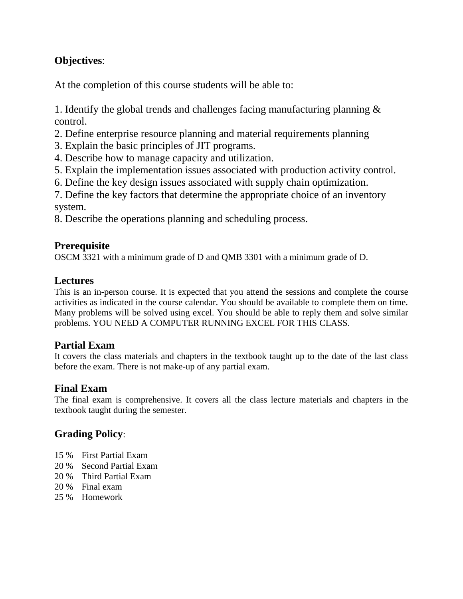# **Objectives**:

At the completion of this course students will be able to:

1. Identify the global trends and challenges facing manufacturing planning & control.

- 2. Define enterprise resource planning and material requirements planning
- 3. Explain the basic principles of JIT programs.
- 4. Describe how to manage capacity and utilization.
- 5. Explain the implementation issues associated with production activity control.
- 6. Define the key design issues associated with supply chain optimization.

7. Define the key factors that determine the appropriate choice of an inventory system.

8. Describe the operations planning and scheduling process.

# **Prerequisite**

OSCM 3321 with a minimum grade of D and QMB 3301 with a minimum grade of D.

# **Lectures**

This is an in-person course. It is expected that you attend the sessions and complete the course activities as indicated in the course calendar. You should be available to complete them on time. Many problems will be solved using excel. You should be able to reply them and solve similar problems. YOU NEED A COMPUTER RUNNING EXCEL FOR THIS CLASS.

# **Partial Exam**

It covers the class materials and chapters in the textbook taught up to the date of the last class before the exam. There is not make-up of any partial exam.

#### **Final Exam**

The final exam is comprehensive. It covers all the class lecture materials and chapters in the textbook taught during the semester.

# **Grading Policy**:

- 15 % First Partial Exam
- 20 % Second Partial Exam
- 20 % Third Partial Exam
- 20 % Final exam
- 25 % Homework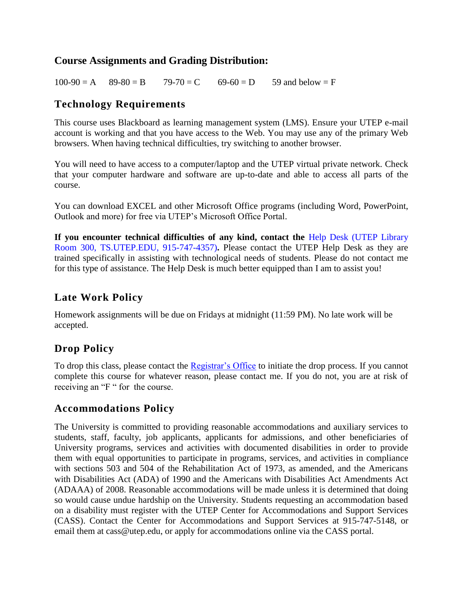#### **Course Assignments and Grading Distribution:**

 $100-90 = A$   $89-80 = B$   $79-70 = C$   $69-60 = D$  59 and below  $= F$ 

#### **Technology Requirements**

This course uses Blackboard as learning management system (LMS). Ensure your UTEP e-mail account is working and that you have access to the Web. You may use any of the primary Web browsers. When having technical difficulties, try switching to another browser.

You will need to have access to a computer/laptop and the UTEP virtual private network. Check that your computer hardware and software are up-to-date and able to access all parts of the course.

You can download EXCEL and other Microsoft Office programs (including Word, PowerPoint, Outlook and more) for free via UTEP's Microsoft Office Portal.

**If you encounter technical difficulties of any kind, contact the** [Help Desk](https://www.utep.edu/irp/technologysupport/) (UTEP Library Room 300, TS.UTEP.EDU, 915-747-4357)**.** Please contact the UTEP Help Desk as they are trained specifically in assisting with technological needs of students. Please do not contact me for this type of assistance. The Help Desk is much better equipped than I am to assist you!

#### **Late Work Policy**

Homework assignments will be due on Fridays at midnight (11:59 PM). No late work will be accepted.

# **Drop Policy**

To drop this class, please contact the [Registrar's Office](https://www.utep.edu/student-affairs/registrar/students/registration.html) to initiate the drop process. If you cannot complete this course for whatever reason, please contact me. If you do not, you are at risk of receiving an "F" for the course.

#### **Accommodations Policy**

The University is committed to providing reasonable accommodations and auxiliary services to students, staff, faculty, job applicants, applicants for admissions, and other beneficiaries of University programs, services and activities with documented disabilities in order to provide them with equal opportunities to participate in programs, services, and activities in compliance with sections 503 and 504 of the Rehabilitation Act of 1973, as amended, and the Americans with Disabilities Act (ADA) of 1990 and the Americans with Disabilities Act Amendments Act (ADAAA) of 2008. Reasonable accommodations will be made unless it is determined that doing so would cause undue hardship on the University. Students requesting an accommodation based on a disability must register with the UTEP Center for Accommodations and Support Services (CASS). Contact the Center for Accommodations and Support Services at 915-747-5148, or email them at cass@utep.edu, or apply for accommodations online via the CASS portal.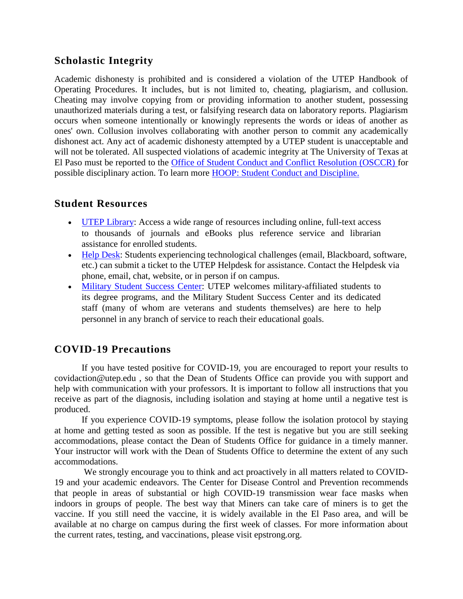#### **Scholastic Integrity**

Academic dishonesty is prohibited and is considered a violation of the UTEP Handbook of Operating Procedures. It includes, but is not limited to, cheating, plagiarism, and collusion. Cheating may involve copying from or providing information to another student, possessing unauthorized materials during a test, or falsifying research data on laboratory reports. Plagiarism occurs when someone intentionally or knowingly represents the words or ideas of another as ones' own. Collusion involves collaborating with another person to commit any academically dishonest act. Any act of academic dishonesty attempted by a UTEP student is unacceptable and will not be tolerated. All suspected violations of academic integrity at The University of Texas at El Paso must be reported to the Office of Student Conduct and Conflict Resolution (OSCCR) for possible disciplinary action. To learn more [HOOP: Student Conduct and Discipline.](https://admin.utep.edu/LinkClick.aspx?link=HOOP-Section+II.pdf&tabid=30181&mid=63285)

#### **Student Resources**

- [UTEP Library:](http://libraryweb.utep.edu/) Access a wide range of resources including online, full-text access to thousands of journals and eBooks plus reference service and librarian assistance for enrolled students.
- [Help Desk:](https://www.utep.edu/irp/technologysupport/) Students experiencing technological challenges (email, Blackboard, software, etc.) can submit a ticket to the UTEP Helpdesk for assistance. Contact the Helpdesk via phone, email, chat, website, or in person if on campus.
- [Military Student Success Center:](../../../../../../../ciramontoya/Downloads/•%09https:/www.utep.edu/student-affairs/mssc) UTEP welcomes military-affiliated students to its degree programs, and the Military Student Success Center and its dedicated staff (many of whom are veterans and students themselves) are here to help personnel in any branch of service to reach their educational goals.

# **COVID-19 Precautions**

If you have tested positive for COVID-19, you are encouraged to report your results to covidaction@utep.edu , so that the Dean of Students Office can provide you with support and help with communication with your professors. It is important to follow all instructions that you receive as part of the diagnosis, including isolation and staying at home until a negative test is produced.

If you experience COVID-19 symptoms, please follow the isolation protocol by staying at home and getting tested as soon as possible. If the test is negative but you are still seeking accommodations, please contact the Dean of Students Office for guidance in a timely manner. Your instructor will work with the Dean of Students Office to determine the extent of any such accommodations.

We strongly encourage you to think and act proactively in all matters related to COVID-19 and your academic endeavors. The Center for Disease Control and Prevention recommends that people in areas of substantial or high COVID-19 transmission wear face masks when indoors in groups of people. The best way that Miners can take care of miners is to get the vaccine. If you still need the vaccine, it is widely available in the El Paso area, and will be available at no charge on campus during the first week of classes. For more information about the current rates, testing, and vaccinations, please visit epstrong.org.